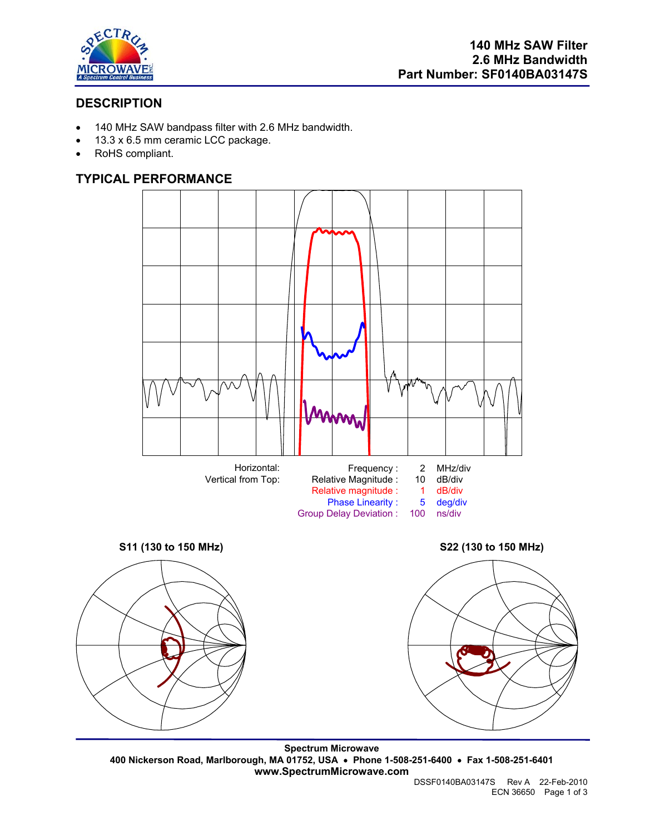

# **DESCRIPTION**

- 140 MHz SAW bandpass filter with 2.6 MHz bandwidth.
- 13.3 x 6.5 mm ceramic LCC package.
- RoHS compliant.

## **TYPICAL PERFORMANCE**



**Spectrum Microwave 400 Nickerson Road, Marlborough, MA 01752, USA** • **Phone 1-508-251-6400** • **Fax 1-508-251-6401 www.SpectrumMicrowave.com**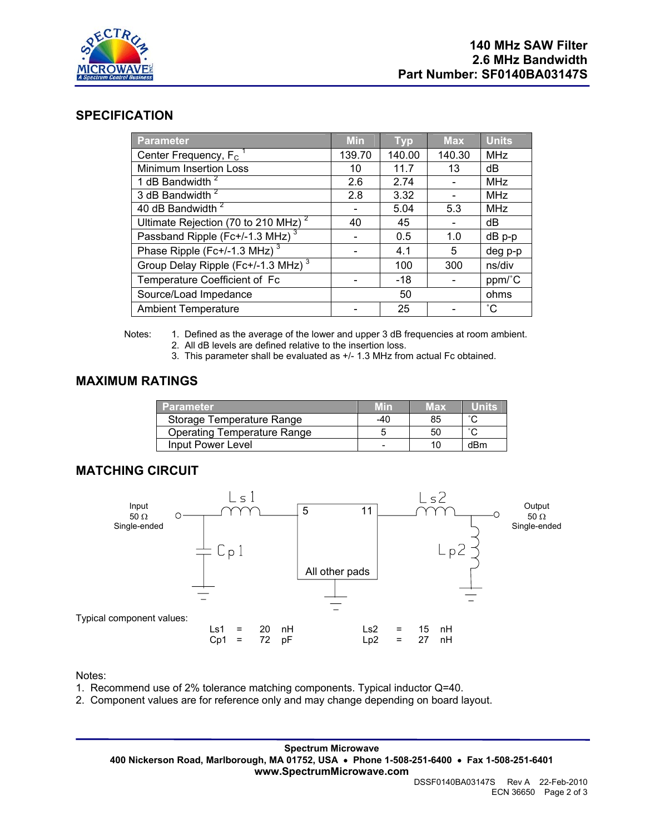

## **SPECIFICATION**

| <b>Parameter</b>                                | <b>Min</b> | <b>Typ</b> | <b>Max</b> | <b>Units</b>      |
|-------------------------------------------------|------------|------------|------------|-------------------|
| Center Frequency, $F_C$ <sup>1</sup>            | 139.70     | 140.00     | 140.30     | <b>MHz</b>        |
| Minimum Insertion Loss                          | 10         | 11.7       | 13         | dB                |
| 1 dB Bandwidth <sup>2</sup>                     | 2.6        | 2.74       |            | <b>MHz</b>        |
| 3 dB Bandwidth <sup>2</sup>                     | 2.8        | 3.32       |            | <b>MHz</b>        |
| 40 dB Bandwidth <sup>2</sup>                    |            | 5.04       | 5.3        | <b>MHz</b>        |
| Ultimate Rejection (70 to 210 MHz) <sup>2</sup> | 40         | 45         |            | dB                |
| Passband Ripple (Fc+/-1.3 MHz) <sup>3</sup>     |            | 0.5        | 1.0        | dB p-p            |
| Phase Ripple (Fc+/-1.3 MHz) <sup>3</sup>        |            | 4.1        | 5          | deg p-p           |
| Group Delay Ripple (Fc+/-1.3 MHz) <sup>3</sup>  |            | 100        | 300        | ns/div            |
| Temperature Coefficient of Fc                   |            | $-18$      |            | ppm/°C            |
| Source/Load Impedance                           |            | 50         |            | ohms              |
| <b>Ambient Temperature</b>                      |            | 25         |            | $^{\circ}{\rm C}$ |

Notes: 1. Defined as the average of the lower and upper 3 dB frequencies at room ambient. 2. All dB levels are defined relative to the insertion loss.

3. This parameter shall be evaluated as +/- 1.3 MHz from actual Fc obtained.

### **MAXIMUM RATINGS**

| <b>Parameter</b>                   | Min | Max |           |
|------------------------------------|-----|-----|-----------|
| Storage Temperature Range          | -40 | 85  | $\hat{ }$ |
| <b>Operating Temperature Range</b> |     | 50  | ∘∩        |
| Input Power Level                  |     | 10  | dBm       |

#### **MATCHING CIRCUIT**



Notes:

- 1. Recommend use of 2% tolerance matching components. Typical inductor Q=40.
- 2. Component values are for reference only and may change depending on board layout.

**Spectrum Microwave 400 Nickerson Road, Marlborough, MA 01752, USA** • **Phone 1-508-251-6400** • **Fax 1-508-251-6401 www.SpectrumMicrowave.com**